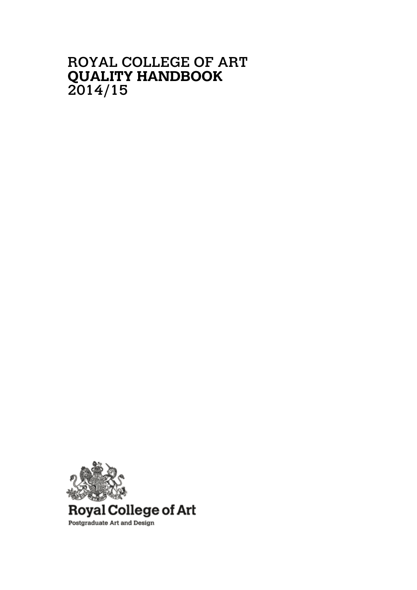# ROYAL COLLEGE OF ART **QUALITY HANDBOOK** 2014/15

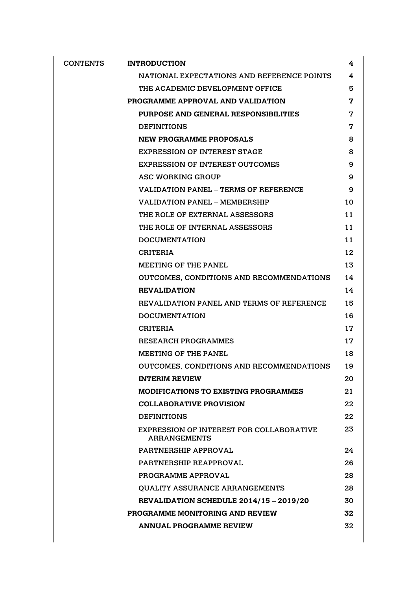| <b>CONTENTS</b> | <b>INTRODUCTION</b>                                             | 4  |
|-----------------|-----------------------------------------------------------------|----|
|                 | NATIONAL EXPECTATIONS AND REFERENCE POINTS                      | 4  |
|                 | THE ACADEMIC DEVELOPMENT OFFICE                                 | 5  |
|                 | PROGRAMME APPROVAL AND VALIDATION                               | 7  |
|                 | PURPOSE AND GENERAL RESPONSIBILITIES                            | 7  |
|                 | <b>DEFINITIONS</b>                                              | 7  |
|                 | <b>NEW PROGRAMME PROPOSALS</b>                                  | 8  |
|                 | <b>EXPRESSION OF INTEREST STAGE</b>                             | 8  |
|                 | <b>EXPRESSION OF INTEREST OUTCOMES</b>                          | 9  |
|                 | <b>ASC WORKING GROUP</b>                                        | 9  |
|                 | <b>VALIDATION PANEL – TERMS OF REFERENCE</b>                    | 9  |
|                 | <b>VALIDATION PANEL - MEMBERSHIP</b>                            | 10 |
|                 | THE ROLE OF EXTERNAL ASSESSORS                                  | 11 |
|                 | THE ROLE OF INTERNAL ASSESSORS                                  | 11 |
|                 | <b>DOCUMENTATION</b>                                            | 11 |
|                 | <b>CRITERIA</b>                                                 | 12 |
|                 | <b>MEETING OF THE PANEL</b>                                     | 13 |
|                 | OUTCOMES, CONDITIONS AND RECOMMENDATIONS                        | 14 |
|                 | <b>REVALIDATION</b>                                             | 14 |
|                 | REVALIDATION PANEL AND TERMS OF REFERENCE                       | 15 |
|                 | <b>DOCUMENTATION</b>                                            | 16 |
|                 | <b>CRITERIA</b>                                                 | 17 |
|                 | <b>RESEARCH PROGRAMMES</b>                                      | 17 |
|                 | <b>MEETING OF THE PANEL</b>                                     | 18 |
|                 | OUTCOMES, CONDITIONS AND RECOMMENDATIONS                        | 19 |
|                 | <b>INTERIM REVIEW</b>                                           | 20 |
|                 | <b>MODIFICATIONS TO EXISTING PROGRAMMES</b>                     | 21 |
|                 | <b>COLLABORATIVE PROVISION</b>                                  | 22 |
|                 | <b>DEFINITIONS</b>                                              | 22 |
|                 | EXPRESSION OF INTEREST FOR COLLABORATIVE<br><b>ARRANGEMENTS</b> | 23 |
|                 | PARTNERSHIP APPROVAL                                            | 24 |
|                 | PARTNERSHIP REAPPROVAL                                          | 26 |
|                 | PROGRAMME APPROVAL                                              | 28 |
|                 | <b>OUALITY ASSURANCE ARRANGEMENTS</b>                           | 28 |
|                 | REVALIDATION SCHEDULE 2014/15 - 2019/20                         | 30 |
|                 | PROGRAMME MONITORING AND REVIEW                                 | 32 |
|                 | <b>ANNUAL PROGRAMME REVIEW</b>                                  | 32 |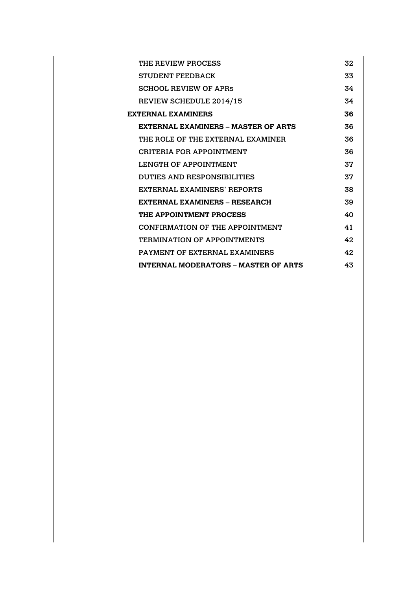|                           | THE REVIEW PROCESS                          | 32 |  |  |
|---------------------------|---------------------------------------------|----|--|--|
|                           | <b>STUDENT FEEDBACK</b>                     | 33 |  |  |
|                           | <b>SCHOOL REVIEW OF APRS</b>                | 34 |  |  |
|                           | REVIEW SCHEDULE 2014/15                     | 34 |  |  |
| 36<br>EXTERNAI. EXAMINERS |                                             |    |  |  |
|                           | <b>EXTERNAL EXAMINERS – MASTER OF ARTS</b>  | 36 |  |  |
|                           | THE ROLE OF THE EXTERNAL EXAMINER           | 36 |  |  |
|                           | CRITERIA FOR APPOINTMENT                    | 36 |  |  |
|                           | <b>LENGTH OF APPOINTMENT</b>                | 37 |  |  |
|                           | DUTIES AND RESPONSIBILITIES                 | 37 |  |  |
|                           | EXTERNAL EXAMINERS' REPORTS                 | 38 |  |  |
|                           | EXTERNAL EXAMINERS - RESEARCH               | 39 |  |  |
|                           | THE APPOINTMENT PROCESS                     | 40 |  |  |
|                           | CONFIRMATION OF THE APPOINTMENT             | 41 |  |  |
|                           | <b>TERMINATION OF APPOINTMENTS</b>          | 42 |  |  |
|                           | <b>PAYMENT OF EXTERNAL EXAMINERS</b>        | 42 |  |  |
|                           | <b>INTERNAL MODERATORS - MASTER OF ARTS</b> | 43 |  |  |
|                           |                                             |    |  |  |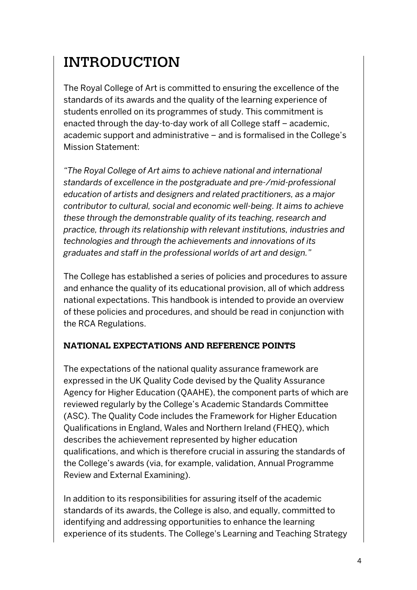# INTRODUCTION

The Royal College of Art is committed to ensuring the excellence of the standards of its awards and the quality of the learning experience of students enrolled on its programmes of study. This commitment is enacted through the day-to-day work of all College staff – academic, academic support and administrative – and is formalised in the College's Mission Statement:

*"The Royal College of Art aims to achieve national and international standards of excellence in the postgraduate and pre-/mid-professional education of artists and designers and related practitioners, as a major contributor to cultural, social and economic well-being. It aims to achieve these through the demonstrable quality of its teaching, research and practice, through its relationship with relevant institutions, industries and technologies and through the achievements and innovations of its graduates and staff in the professional worlds of art and design."*

The College has established a series of policies and procedures to assure and enhance the quality of its educational provision, all of which address national expectations. This handbook is intended to provide an overview of these policies and procedures, and should be read in conjunction with the RCA Regulations.

### **NATIONAL EXPECTATIONS AND REFERENCE POINTS**

The expectations of the national quality assurance framework are expressed in the UK Quality Code devised by the Quality Assurance Agency for Higher Education (QAAHE), the component parts of which are reviewed regularly by the College's Academic Standards Committee (ASC). The Quality Code includes the Framework for Higher Education Qualifications in England, Wales and Northern Ireland (FHEQ), which describes the achievement represented by higher education qualifications, and which is therefore crucial in assuring the standards of the College's awards (via, for example, validation, Annual Programme Review and External Examining).

In addition to its responsibilities for assuring itself of the academic standards of its awards, the College is also, and equally, committed to identifying and addressing opportunities to enhance the learning experience of its students. The College's Learning and Teaching Strategy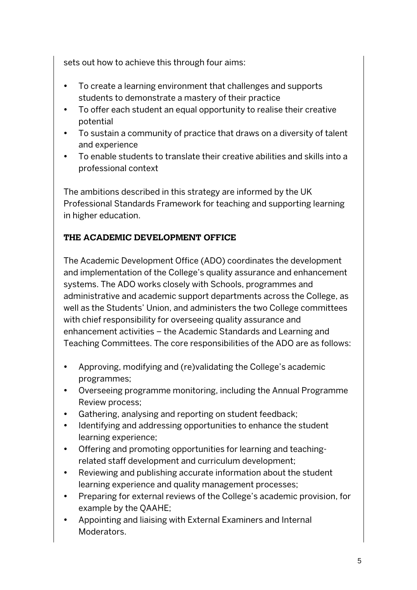sets out how to achieve this through four aims:

- To create a learning environment that challenges and supports students to demonstrate a mastery of their practice
- To offer each student an equal opportunity to realise their creative potential
- To sustain a community of practice that draws on a diversity of talent and experience
- To enable students to translate their creative abilities and skills into a professional context

The ambitions described in this strategy are informed by the UK Professional Standards Framework for teaching and supporting learning in higher education.

# **THE ACADEMIC DEVELOPMENT OFFICE**

The Academic Development Office (ADO) coordinates the development and implementation of the College's quality assurance and enhancement systems. The ADO works closely with Schools, programmes and administrative and academic support departments across the College, as well as the Students' Union, and administers the two College committees with chief responsibility for overseeing quality assurance and enhancement activities – the Academic Standards and Learning and Teaching Committees. The core responsibilities of the ADO are as follows:

- Approving, modifying and (re)validating the College's academic programmes;
- Overseeing programme monitoring, including the Annual Programme Review process;
- Gathering, analysing and reporting on student feedback;
- Identifying and addressing opportunities to enhance the student learning experience;
- Offering and promoting opportunities for learning and teachingrelated staff development and curriculum development;
- Reviewing and publishing accurate information about the student learning experience and quality management processes;
- Preparing for external reviews of the College's academic provision, for example by the QAAHE;
- Appointing and liaising with External Examiners and Internal Moderators.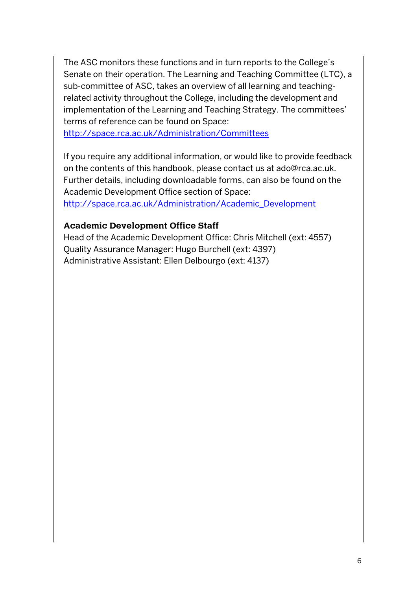The ASC monitors these functions and in turn reports to the College's Senate on their operation. The Learning and Teaching Committee (LTC), a sub-committee of ASC, takes an overview of all learning and teachingrelated activity throughout the College, including the development and implementation of the Learning and Teaching Strategy. The committees' terms of reference can be found on Space:

http://space.rca.ac.uk/Administration/Committees

If you require any additional information, or would like to provide feedback on the contents of this handbook, please contact us at ado@rca.ac.uk. Further details, including downloadable forms, can also be found on the Academic Development Office section of Space:

http://space.rca.ac.uk/Administration/Academic\_Development

#### **Academic Development Office Staff**

Head of the Academic Development Office: Chris Mitchell (ext: 4557) Quality Assurance Manager: Hugo Burchell (ext: 4397) Administrative Assistant: Ellen Delbourgo (ext: 4137)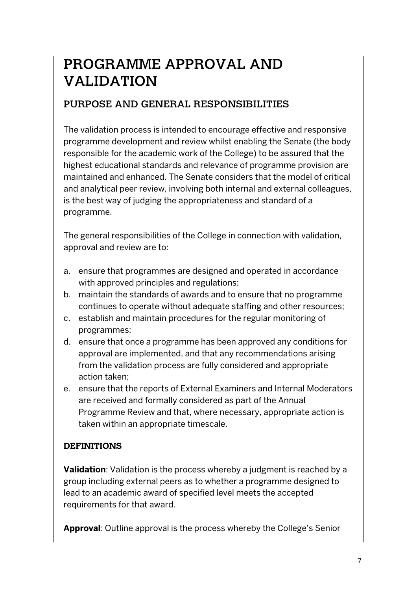# PROGRAMME APPROVAL AND VALIDATION

# PURPOSE AND GENERAL RESPONSIBILITIES

The validation process is intended to encourage effective and responsive programme development and review whilst enabling the Senate (the body responsible for the academic work of the College) to be assured that the highest educational standards and relevance of programme provision are maintained and enhanced. The Senate considers that the model of critical and analytical peer review, involving both internal and external colleagues, is the best way of judging the appropriateness and standard of a programme.

The general responsibilities of the College in connection with validation, approval and review are to:

- a. ensure that programmes are designed and operated in accordance with approved principles and regulations;
- b. maintain the standards of awards and to ensure that no programme continues to operate without adequate staffing and other resources;
- c. establish and maintain procedures for the regular monitoring of programmes;
- d. ensure that once a programme has been approved any conditions for approval are implemented, and that any recommendations arising from the validation process are fully considered and appropriate action taken;
- e. ensure that the reports of External Examiners and Internal Moderators are received and formally considered as part of the Annual Programme Review and that, where necessary, appropriate action is taken within an appropriate timescale.

#### **DEFINITIONS**

**Validation**: Validation is the process whereby a judgment is reached by a group including external peers as to whether a programme designed to lead to an academic award of specified level meets the accepted requirements for that award.

**Approval**: Outline approval is the process whereby the College's Senior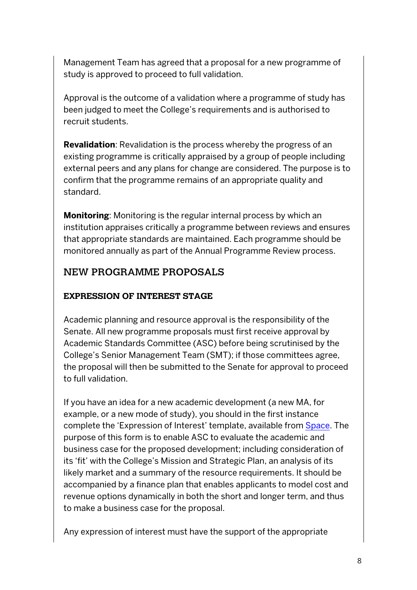Management Team has agreed that a proposal for a new programme of study is approved to proceed to full validation.

Approval is the outcome of a validation where a programme of study has been judged to meet the College's requirements and is authorised to recruit students.

**Revalidation**: Revalidation is the process whereby the progress of an existing programme is critically appraised by a group of people including external peers and any plans for change are considered. The purpose is to confirm that the programme remains of an appropriate quality and standard.

**Monitoring**: Monitoring is the regular internal process by which an institution appraises critically a programme between reviews and ensures that appropriate standards are maintained. Each programme should be monitored annually as part of the Annual Programme Review process.

# NEW PROGRAMME PROPOSALS

### **EXPRESSION OF INTEREST STAGE**

Academic planning and resource approval is the responsibility of the Senate. All new programme proposals must first receive approval by Academic Standards Committee (ASC) before being scrutinised by the College's Senior Management Team (SMT); if those committees agree, the proposal will then be submitted to the Senate for approval to proceed to full validation.

If you have an idea for a new academic development (a new MA, for example, or a new mode of study), you should in the first instance complete the 'Expression of Interest' template, available from Space. The purpose of this form is to enable ASC to evaluate the academic and business case for the proposed development; including consideration of its 'fit' with the College's Mission and Strategic Plan, an analysis of its likely market and a summary of the resource requirements. It should be accompanied by a finance plan that enables applicants to model cost and revenue options dynamically in both the short and longer term, and thus to make a business case for the proposal.

Any expression of interest must have the support of the appropriate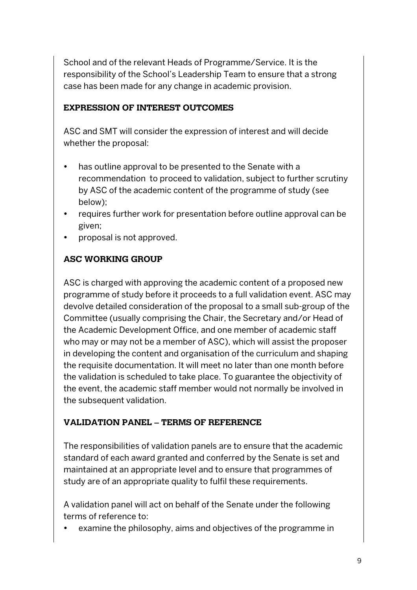School and of the relevant Heads of Programme/Service. It is the responsibility of the School's Leadership Team to ensure that a strong case has been made for any change in academic provision.

#### **EXPRESSION OF INTEREST OUTCOMES**

ASC and SMT will consider the expression of interest and will decide whether the proposal:

- has outline approval to be presented to the Senate with a recommendation to proceed to validation, subject to further scrutiny by ASC of the academic content of the programme of study (see below);
- requires further work for presentation before outline approval can be given;
- proposal is not approved.

### **ASC WORKING GROUP**

ASC is charged with approving the academic content of a proposed new programme of study before it proceeds to a full validation event. ASC may devolve detailed consideration of the proposal to a small sub-group of the Committee (usually comprising the Chair, the Secretary and/or Head of the Academic Development Office, and one member of academic staff who may or may not be a member of ASC), which will assist the proposer in developing the content and organisation of the curriculum and shaping the requisite documentation. It will meet no later than one month before the validation is scheduled to take place. To guarantee the objectivity of the event, the academic staff member would not normally be involved in the subsequent validation.

### **VALIDATION PANEL – TERMS OF REFERENCE**

The responsibilities of validation panels are to ensure that the academic standard of each award granted and conferred by the Senate is set and maintained at an appropriate level and to ensure that programmes of study are of an appropriate quality to fulfil these requirements.

A validation panel will act on behalf of the Senate under the following terms of reference to:

examine the philosophy, aims and objectives of the programme in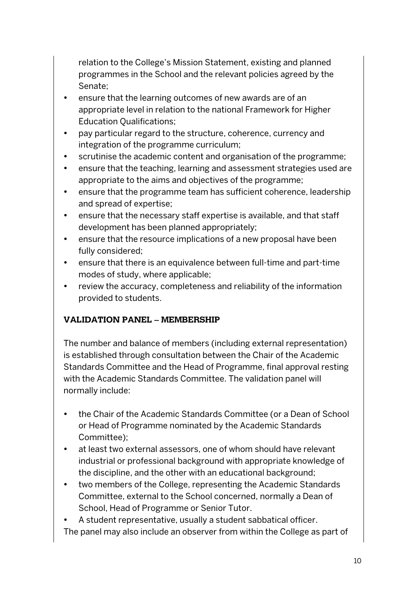relation to the College's Mission Statement, existing and planned programmes in the School and the relevant policies agreed by the Senate;

- ensure that the learning outcomes of new awards are of an appropriate level in relation to the national Framework for Higher Education Qualifications;
- pay particular regard to the structure, coherence, currency and integration of the programme curriculum;
- scrutinise the academic content and organisation of the programme;
- ensure that the teaching, learning and assessment strategies used are appropriate to the aims and objectives of the programme;
- ensure that the programme team has sufficient coherence, leadership and spread of expertise;
- ensure that the necessary staff expertise is available, and that staff development has been planned appropriately;
- ensure that the resource implications of a new proposal have been fully considered;
- ensure that there is an equivalence between full-time and part-time modes of study, where applicable;
- review the accuracy, completeness and reliability of the information provided to students.

# **VALIDATION PANEL – MEMBERSHIP**

The number and balance of members (including external representation) is established through consultation between the Chair of the Academic Standards Committee and the Head of Programme, final approval resting with the Academic Standards Committee. The validation panel will normally include:

- the Chair of the Academic Standards Committee (or a Dean of School or Head of Programme nominated by the Academic Standards Committee);
- at least two external assessors, one of whom should have relevant industrial or professional background with appropriate knowledge of the discipline, and the other with an educational background;
- two members of the College, representing the Academic Standards Committee, external to the School concerned, normally a Dean of School, Head of Programme or Senior Tutor.
- A student representative, usually a student sabbatical officer. The panel may also include an observer from within the College as part of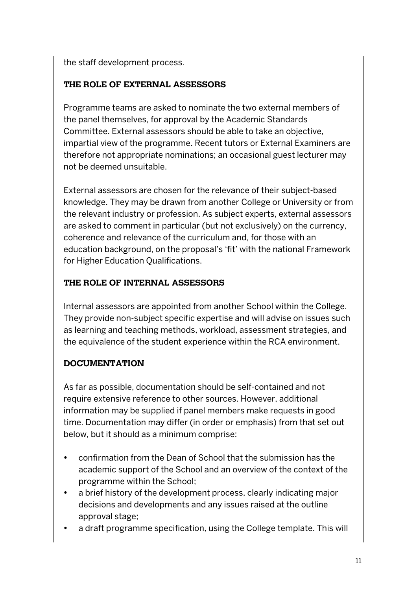the staff development process.

#### **THE ROLE OF EXTERNAL ASSESSORS**

Programme teams are asked to nominate the two external members of the panel themselves, for approval by the Academic Standards Committee. External assessors should be able to take an objective, impartial view of the programme. Recent tutors or External Examiners are therefore not appropriate nominations; an occasional guest lecturer may not be deemed unsuitable.

External assessors are chosen for the relevance of their subject-based knowledge. They may be drawn from another College or University or from the relevant industry or profession. As subject experts, external assessors are asked to comment in particular (but not exclusively) on the currency, coherence and relevance of the curriculum and, for those with an education background, on the proposal's 'fit' with the national Framework for Higher Education Qualifications.

#### **THE ROLE OF INTERNAL ASSESSORS**

Internal assessors are appointed from another School within the College. They provide non-subject specific expertise and will advise on issues such as learning and teaching methods, workload, assessment strategies, and the equivalence of the student experience within the RCA environment.

### **DOCUMENTATION**

As far as possible, documentation should be self-contained and not require extensive reference to other sources. However, additional information may be supplied if panel members make requests in good time. Documentation may differ (in order or emphasis) from that set out below, but it should as a minimum comprise:

- confirmation from the Dean of School that the submission has the academic support of the School and an overview of the context of the programme within the School;
- a brief history of the development process, clearly indicating major decisions and developments and any issues raised at the outline approval stage;
- a draft programme specification, using the College template. This will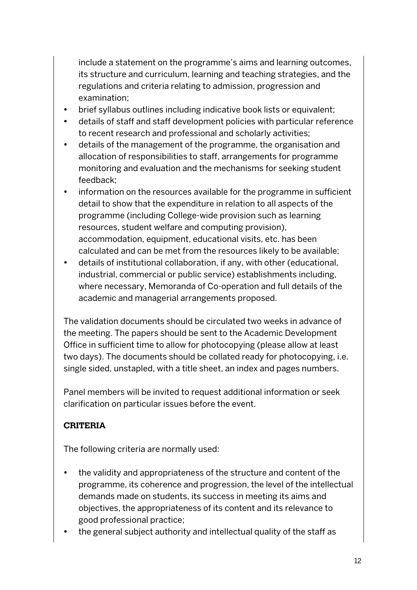include a statement on the programme's aims and learning outcomes, its structure and curriculum, learning and teaching strategies, and the regulations and criteria relating to admission, progression and examination;

- brief syllabus outlines including indicative book lists or equivalent;
- details of staff and staff development policies with particular reference to recent research and professional and scholarly activities;
- details of the management of the programme, the organisation and allocation of responsibilities to staff, arrangements for programme monitoring and evaluation and the mechanisms for seeking student feedback;
- information on the resources available for the programme in sufficient detail to show that the expenditure in relation to all aspects of the programme (including College-wide provision such as learning resources, student welfare and computing provision), accommodation, equipment, educational visits, etc. has been calculated and can be met from the resources likely to be available;
- details of institutional collaboration, if any, with other (educational, industrial, commercial or public service) establishments including, where necessary, Memoranda of Co-operation and full details of the academic and managerial arrangements proposed.

The validation documents should be circulated two weeks in advance of the meeting. The papers should be sent to the Academic Development Office in sufficient time to allow for photocopying (please allow at least two days). The documents should be collated ready for photocopying, i.e. single sided, unstapled, with a title sheet, an index and pages numbers.

Panel members will be invited to request additional information or seek clarification on particular issues before the event.

### **CRITERIA**

The following criteria are normally used:

- the validity and appropriateness of the structure and content of the programme, its coherence and progression, the level of the intellectual demands made on students, its success in meeting its aims and objectives, the appropriateness of its content and its relevance to good professional practice;
- the general subject authority and intellectual quality of the staff as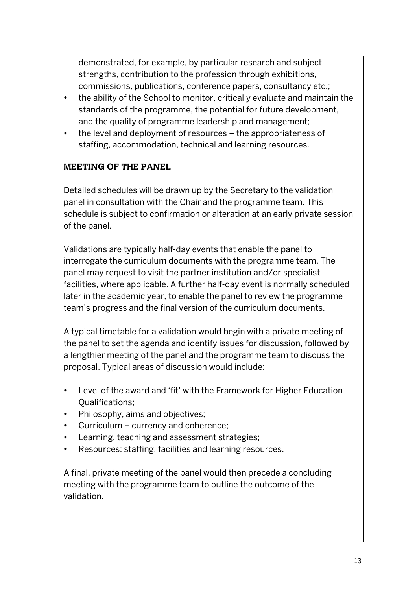demonstrated, for example, by particular research and subject strengths, contribution to the profession through exhibitions, commissions, publications, conference papers, consultancy etc.;

- the ability of the School to monitor, critically evaluate and maintain the standards of the programme, the potential for future development, and the quality of programme leadership and management;
- the level and deployment of resources the appropriateness of staffing, accommodation, technical and learning resources.

#### **MEETING OF THE PANEL**

Detailed schedules will be drawn up by the Secretary to the validation panel in consultation with the Chair and the programme team. This schedule is subject to confirmation or alteration at an early private session of the panel.

Validations are typically half-day events that enable the panel to interrogate the curriculum documents with the programme team. The panel may request to visit the partner institution and/or specialist facilities, where applicable. A further half-day event is normally scheduled later in the academic year, to enable the panel to review the programme team's progress and the final version of the curriculum documents.

A typical timetable for a validation would begin with a private meeting of the panel to set the agenda and identify issues for discussion, followed by a lengthier meeting of the panel and the programme team to discuss the proposal. Typical areas of discussion would include:

- Level of the award and 'fit' with the Framework for Higher Education Qualifications;
- Philosophy, aims and objectives;
- Curriculum currency and coherence;
- Learning, teaching and assessment strategies;
- Resources: staffing, facilities and learning resources.

A final, private meeting of the panel would then precede a concluding meeting with the programme team to outline the outcome of the validation.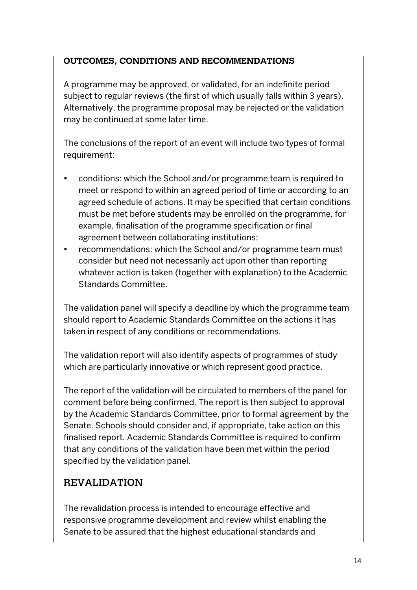#### **OUTCOMES, CONDITIONS AND RECOMMENDATIONS**

A programme may be approved, or validated, for an indefinite period subject to regular reviews (the first of which usually falls within 3 years). Alternatively, the programme proposal may be rejected or the validation may be continued at some later time.

The conclusions of the report of an event will include two types of formal requirement:

- conditions: which the School and/or programme team is required to meet or respond to within an agreed period of time or according to an agreed schedule of actions. It may be specified that certain conditions must be met before students may be enrolled on the programme, for example, finalisation of the programme specification or final agreement between collaborating institutions;
- recommendations: which the School and/or programme team must consider but need not necessarily act upon other than reporting whatever action is taken (together with explanation) to the Academic Standards Committee.

The validation panel will specify a deadline by which the programme team should report to Academic Standards Committee on the actions it has taken in respect of any conditions or recommendations.

The validation report will also identify aspects of programmes of study which are particularly innovative or which represent good practice.

The report of the validation will be circulated to members of the panel for comment before being confirmed. The report is then subject to approval by the Academic Standards Committee, prior to formal agreement by the Senate. Schools should consider and, if appropriate, take action on this finalised report. Academic Standards Committee is required to confirm that any conditions of the validation have been met within the period specified by the validation panel.

### REVALIDATION

The revalidation process is intended to encourage effective and responsive programme development and review whilst enabling the Senate to be assured that the highest educational standards and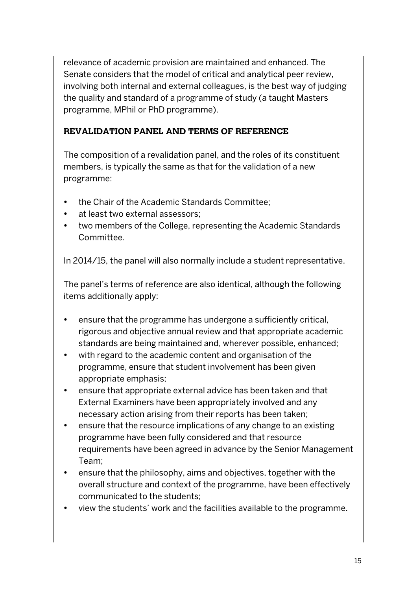relevance of academic provision are maintained and enhanced. The Senate considers that the model of critical and analytical peer review, involving both internal and external colleagues, is the best way of judging the quality and standard of a programme of study (a taught Masters programme, MPhil or PhD programme).

#### **REVALIDATION PANEL AND TERMS OF REFERENCE**

The composition of a revalidation panel, and the roles of its constituent members, is typically the same as that for the validation of a new programme:

- the Chair of the Academic Standards Committee;
- at least two external assessors;
- two members of the College, representing the Academic Standards Committee.

In 2014/15, the panel will also normally include a student representative.

The panel's terms of reference are also identical, although the following items additionally apply:

- ensure that the programme has undergone a sufficiently critical, rigorous and objective annual review and that appropriate academic standards are being maintained and, wherever possible, enhanced;
- with regard to the academic content and organisation of the programme, ensure that student involvement has been given appropriate emphasis;
- ensure that appropriate external advice has been taken and that External Examiners have been appropriately involved and any necessary action arising from their reports has been taken;
- ensure that the resource implications of any change to an existing programme have been fully considered and that resource requirements have been agreed in advance by the Senior Management Team;
- ensure that the philosophy, aims and objectives, together with the overall structure and context of the programme, have been effectively communicated to the students;
- view the students' work and the facilities available to the programme.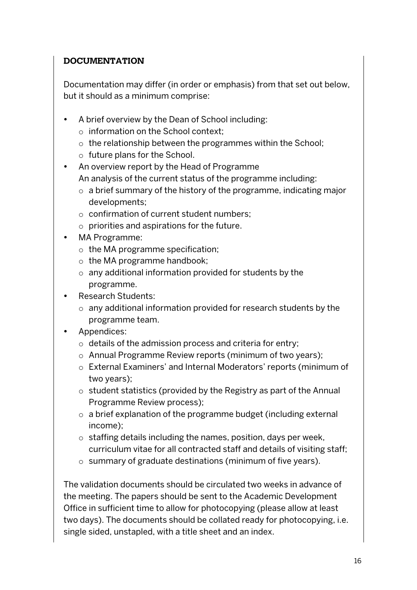#### **DOCUMENTATION**

Documentation may differ (in order or emphasis) from that set out below, but it should as a minimum comprise:

- A brief overview by the Dean of School including:
	- o information on the School context;
	- o the relationship between the programmes within the School;
	- o future plans for the School.
- An overview report by the Head of Programme An analysis of the current status of the programme including:
	- o a brief summary of the history of the programme, indicating major developments;
	- o confirmation of current student numbers;
	- o priorities and aspirations for the future.
- MA Programme:
	- $\circ$  the MA programme specification;
	- o the MA programme handbook;
	- o any additional information provided for students by the programme.
- Research Students:
	- o any additional information provided for research students by the programme team.
- Appendices:
	- o details of the admission process and criteria for entry;
	- o Annual Programme Review reports (minimum of two years);
	- o External Examiners' and Internal Moderators' reports (minimum of two years);
	- o student statistics (provided by the Registry as part of the Annual Programme Review process);
	- o a brief explanation of the programme budget (including external income);
	- o staffing details including the names, position, days per week, curriculum vitae for all contracted staff and details of visiting staff;
	- o summary of graduate destinations (minimum of five years).

The validation documents should be circulated two weeks in advance of the meeting. The papers should be sent to the Academic Development Office in sufficient time to allow for photocopying (please allow at least two days). The documents should be collated ready for photocopying, i.e. single sided, unstapled, with a title sheet and an index.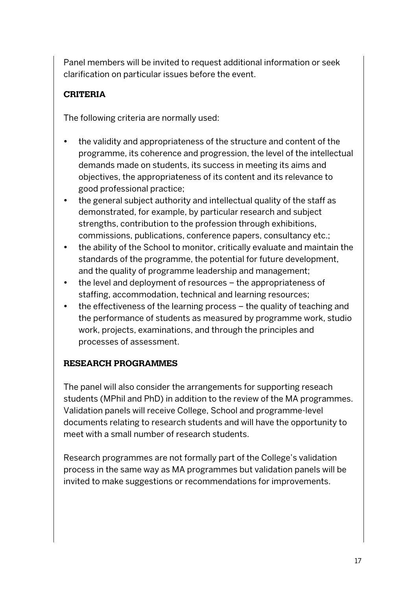Panel members will be invited to request additional information or seek clarification on particular issues before the event.

# **CRITERIA**

The following criteria are normally used:

- the validity and appropriateness of the structure and content of the programme, its coherence and progression, the level of the intellectual demands made on students, its success in meeting its aims and objectives, the appropriateness of its content and its relevance to good professional practice;
- the general subject authority and intellectual quality of the staff as demonstrated, for example, by particular research and subject strengths, contribution to the profession through exhibitions, commissions, publications, conference papers, consultancy etc.;
- the ability of the School to monitor, critically evaluate and maintain the standards of the programme, the potential for future development, and the quality of programme leadership and management;
- the level and deployment of resources the appropriateness of staffing, accommodation, technical and learning resources;
- the effectiveness of the learning process the quality of teaching and the performance of students as measured by programme work, studio work, projects, examinations, and through the principles and processes of assessment.

#### **RESEARCH PROGRAMMES**

The panel will also consider the arrangements for supporting reseach students (MPhil and PhD) in addition to the review of the MA programmes. Validation panels will receive College, School and programme-level documents relating to research students and will have the opportunity to meet with a small number of research students.

Research programmes are not formally part of the College's validation process in the same way as MA programmes but validation panels will be invited to make suggestions or recommendations for improvements.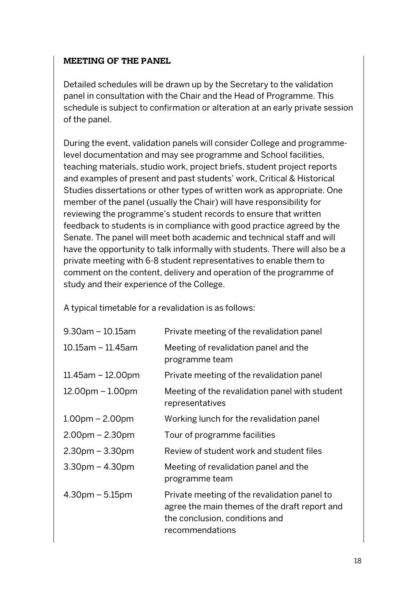#### **MEETING OF THE PANEL**

Detailed schedules will be drawn up by the Secretary to the validation panel in consultation with the Chair and the Head of Programme. This schedule is subject to confirmation or alteration at an early private session of the panel.

During the event, validation panels will consider College and programmelevel documentation and may see programme and School facilities, teaching materials, studio work, project briefs, student project reports and examples of present and past students' work, Critical & Historical Studies dissertations or other types of written work as appropriate. One member of the panel (usually the Chair) will have responsibility for reviewing the programme's student records to ensure that written feedback to students is in compliance with good practice agreed by the Senate. The panel will meet both academic and technical staff and will have the opportunity to talk informally with students. There will also be a private meeting with 6-8 student representatives to enable them to comment on the content, delivery and operation of the programme of study and their experience of the College.

A typical timetable for a revalidation is as follows:

| $9.30$ am – 10.15am     | Private meeting of the revalidation panel                                                                                                          |
|-------------------------|----------------------------------------------------------------------------------------------------------------------------------------------------|
| $10.15$ am - 11.45am    | Meeting of revalidation panel and the<br>programme team                                                                                            |
| $11.45$ am – $12.00$ pm | Private meeting of the revalidation panel                                                                                                          |
| $12.00pm - 1.00pm$      | Meeting of the revalidation panel with student<br>representatives                                                                                  |
| $1.00pm - 2.00pm$       | Working lunch for the revalidation panel                                                                                                           |
| $2.00pm - 2.30pm$       | Tour of programme facilities                                                                                                                       |
| $2.30pm - 3.30pm$       | Review of student work and student files                                                                                                           |
| $3.30pm - 4.30pm$       | Meeting of revalidation panel and the<br>programme team                                                                                            |
| $4.30$ pm – 5.15pm      | Private meeting of the revalidation panel to<br>agree the main themes of the draft report and<br>the conclusion, conditions and<br>recommendations |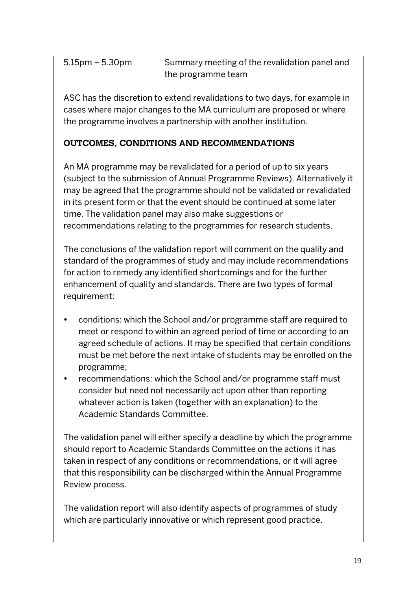5.15pm – 5.30pm Summary meeting of the revalidation panel and the programme team

ASC has the discretion to extend revalidations to two days, for example in cases where major changes to the MA curriculum are proposed or where the programme involves a partnership with another institution.

### **OUTCOMES, CONDITIONS AND RECOMMENDATIONS**

An MA programme may be revalidated for a period of up to six years (subject to the submission of Annual Programme Reviews). Alternatively it may be agreed that the programme should not be validated or revalidated in its present form or that the event should be continued at some later time. The validation panel may also make suggestions or recommendations relating to the programmes for research students.

The conclusions of the validation report will comment on the quality and standard of the programmes of study and may include recommendations for action to remedy any identified shortcomings and for the further enhancement of quality and standards. There are two types of formal requirement:

- conditions: which the School and/or programme staff are required to meet or respond to within an agreed period of time or according to an agreed schedule of actions. It may be specified that certain conditions must be met before the next intake of students may be enrolled on the programme;
- recommendations: which the School and/or programme staff must consider but need not necessarily act upon other than reporting whatever action is taken (together with an explanation) to the Academic Standards Committee.

The validation panel will either specify a deadline by which the programme should report to Academic Standards Committee on the actions it has taken in respect of any conditions or recommendations, or it will agree that this responsibility can be discharged within the Annual Programme Review process.

The validation report will also identify aspects of programmes of study which are particularly innovative or which represent good practice.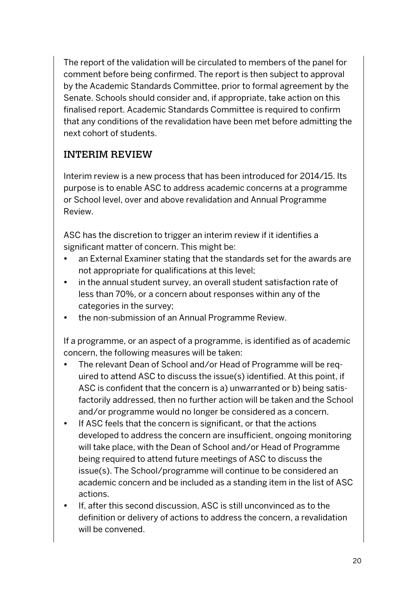The report of the validation will be circulated to members of the panel for comment before being confirmed. The report is then subject to approval by the Academic Standards Committee, prior to formal agreement by the Senate. Schools should consider and, if appropriate, take action on this finalised report. Academic Standards Committee is required to confirm that any conditions of the revalidation have been met before admitting the next cohort of students.

# INTERIM REVIEW

Interim review is a new process that has been introduced for 2014/15. Its purpose is to enable ASC to address academic concerns at a programme or School level, over and above revalidation and Annual Programme Review.

ASC has the discretion to trigger an interim review if it identifies a significant matter of concern. This might be:

- an External Examiner stating that the standards set for the awards are not appropriate for qualifications at this level;
- in the annual student survey, an overall student satisfaction rate of less than 70%, or a concern about responses within any of the categories in the survey;
- the non-submission of an Annual Programme Review.

If a programme, or an aspect of a programme, is identified as of academic concern, the following measures will be taken:

- The relevant Dean of School and/or Head of Programme will be required to attend ASC to discuss the issue(s) identified. At this point, if ASC is confident that the concern is a) unwarranted or b) being satisfactorily addressed, then no further action will be taken and the School and/or programme would no longer be considered as a concern.
- If ASC feels that the concern is significant, or that the actions developed to address the concern are insufficient, ongoing monitoring will take place, with the Dean of School and/or Head of Programme being required to attend future meetings of ASC to discuss the issue(s). The School/programme will continue to be considered an academic concern and be included as a standing item in the list of ASC actions.
- If, after this second discussion, ASC is still unconvinced as to the definition or delivery of actions to address the concern, a revalidation will be convened.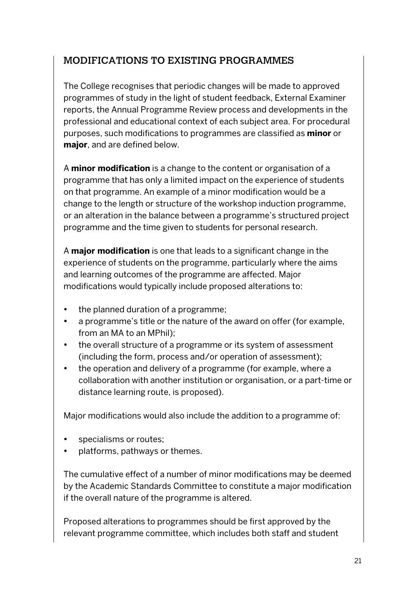# MODIFICATIONS TO EXISTING PROGRAMMES

The College recognises that periodic changes will be made to approved programmes of study in the light of student feedback, External Examiner reports, the Annual Programme Review process and developments in the professional and educational context of each subject area. For procedural purposes, such modifications to programmes are classified as **minor** or **major**, and are defined below.

A **minor modification** is a change to the content or organisation of a programme that has only a limited impact on the experience of students on that programme. An example of a minor modification would be a change to the length or structure of the workshop induction programme, or an alteration in the balance between a programme's structured project programme and the time given to students for personal research.

A **major modification** is one that leads to a significant change in the experience of students on the programme, particularly where the aims and learning outcomes of the programme are affected. Major modifications would typically include proposed alterations to:

- the planned duration of a programme;
- a programme's title or the nature of the award on offer (for example, from an MA to an MPhil);
- the overall structure of a programme or its system of assessment (including the form, process and/or operation of assessment);
- the operation and delivery of a programme (for example, where a collaboration with another institution or organisation, or a part-time or distance learning route, is proposed).

Major modifications would also include the addition to a programme of:

- specialisms or routes;
- platforms, pathways or themes.

The cumulative effect of a number of minor modifications may be deemed by the Academic Standards Committee to constitute a major modification if the overall nature of the programme is altered.

Proposed alterations to programmes should be first approved by the relevant programme committee, which includes both staff and student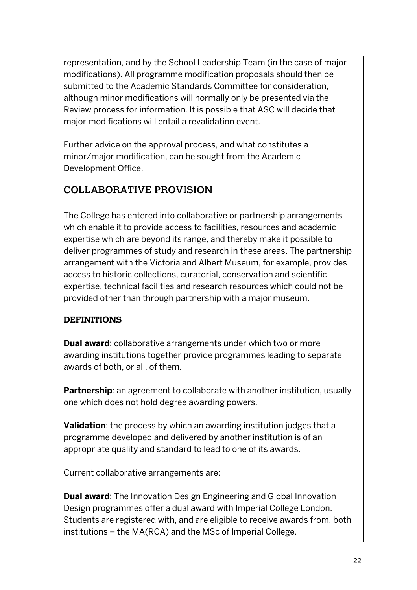representation, and by the School Leadership Team (in the case of major modifications). All programme modification proposals should then be submitted to the Academic Standards Committee for consideration, although minor modifications will normally only be presented via the Review process for information. It is possible that ASC will decide that major modifications will entail a revalidation event.

Further advice on the approval process, and what constitutes a minor/major modification, can be sought from the Academic Development Office.

# COLLABORATIVE PROVISION

The College has entered into collaborative or partnership arrangements which enable it to provide access to facilities, resources and academic expertise which are beyond its range, and thereby make it possible to deliver programmes of study and research in these areas. The partnership arrangement with the Victoria and Albert Museum, for example, provides access to historic collections, curatorial, conservation and scientific expertise, technical facilities and research resources which could not be provided other than through partnership with a major museum.

### **DEFINITIONS**

**Dual award**: collaborative arrangements under which two or more awarding institutions together provide programmes leading to separate awards of both, or all, of them.

**Partnership**: an agreement to collaborate with another institution, usually one which does not hold degree awarding powers.

**Validation**: the process by which an awarding institution judges that a programme developed and delivered by another institution is of an appropriate quality and standard to lead to one of its awards.

Current collaborative arrangements are:

**Dual award:** The Innovation Design Engineering and Global Innovation Design programmes offer a dual award with Imperial College London. Students are registered with, and are eligible to receive awards from, both institutions – the MA(RCA) and the MSc of Imperial College.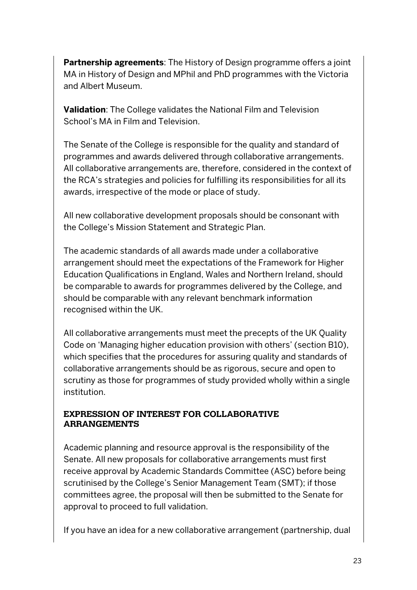**Partnership agreements**: The History of Design programme offers a joint MA in History of Design and MPhil and PhD programmes with the Victoria and Albert Museum.

**Validation**: The College validates the National Film and Television School's MA in Film and Television.

The Senate of the College is responsible for the quality and standard of programmes and awards delivered through collaborative arrangements. All collaborative arrangements are, therefore, considered in the context of the RCA's strategies and policies for fulfilling its responsibilities for all its awards, irrespective of the mode or place of study.

All new collaborative development proposals should be consonant with the College's Mission Statement and Strategic Plan.

The academic standards of all awards made under a collaborative arrangement should meet the expectations of the Framework for Higher Education Qualifications in England, Wales and Northern Ireland, should be comparable to awards for programmes delivered by the College, and should be comparable with any relevant benchmark information recognised within the UK.

All collaborative arrangements must meet the precepts of the UK Quality Code on 'Managing higher education provision with others' (section B10), which specifies that the procedures for assuring quality and standards of collaborative arrangements should be as rigorous, secure and open to scrutiny as those for programmes of study provided wholly within a single institution.

#### **EXPRESSION OF INTEREST FOR COLLABORATIVE ARRANGEMENTS**

Academic planning and resource approval is the responsibility of the Senate. All new proposals for collaborative arrangements must first receive approval by Academic Standards Committee (ASC) before being scrutinised by the College's Senior Management Team (SMT); if those committees agree, the proposal will then be submitted to the Senate for approval to proceed to full validation.

If you have an idea for a new collaborative arrangement (partnership, dual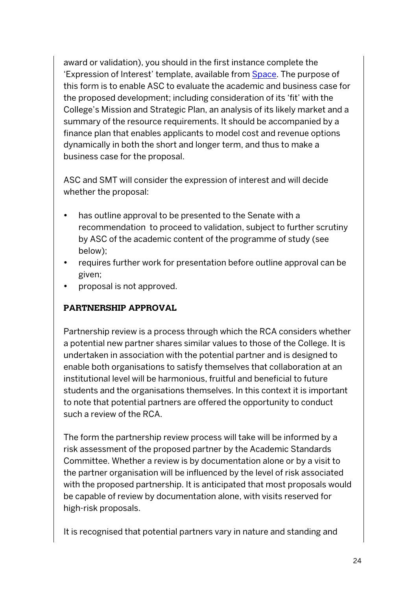award or validation), you should in the first instance complete the 'Expression of Interest' template, available from Space. The purpose of this form is to enable ASC to evaluate the academic and business case for the proposed development; including consideration of its 'fit' with the College's Mission and Strategic Plan, an analysis of its likely market and a summary of the resource requirements. It should be accompanied by a finance plan that enables applicants to model cost and revenue options dynamically in both the short and longer term, and thus to make a business case for the proposal.

ASC and SMT will consider the expression of interest and will decide whether the proposal:

- has outline approval to be presented to the Senate with a recommendation to proceed to validation, subject to further scrutiny by ASC of the academic content of the programme of study (see below);
- requires further work for presentation before outline approval can be given;
- proposal is not approved.

#### **PARTNERSHIP APPROVAL**

Partnership review is a process through which the RCA considers whether a potential new partner shares similar values to those of the College. It is undertaken in association with the potential partner and is designed to enable both organisations to satisfy themselves that collaboration at an institutional level will be harmonious, fruitful and beneficial to future students and the organisations themselves. In this context it is important to note that potential partners are offered the opportunity to conduct such a review of the RCA.

The form the partnership review process will take will be informed by a risk assessment of the proposed partner by the Academic Standards Committee. Whether a review is by documentation alone or by a visit to the partner organisation will be influenced by the level of risk associated with the proposed partnership. It is anticipated that most proposals would be capable of review by documentation alone, with visits reserved for high-risk proposals.

It is recognised that potential partners vary in nature and standing and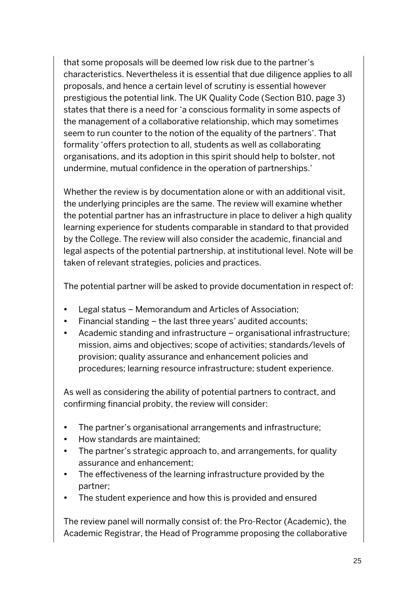that some proposals will be deemed low risk due to the partner's characteristics. Nevertheless it is essential that due diligence applies to all proposals, and hence a certain level of scrutiny is essential however prestigious the potential link. The UK Quality Code (Section B10, page 3) states that there is a need for 'a conscious formality in some aspects of the management of a collaborative relationship, which may sometimes seem to run counter to the notion of the equality of the partners'. That formality 'offers protection to all, students as well as collaborating organisations, and its adoption in this spirit should help to bolster, not undermine, mutual confidence in the operation of partnerships.'

Whether the review is by documentation alone or with an additional visit, the underlying principles are the same. The review will examine whether the potential partner has an infrastructure in place to deliver a high quality learning experience for students comparable in standard to that provided by the College. The review will also consider the academic, financial and legal aspects of the potential partnership, at institutional level. Note will be taken of relevant strategies, policies and practices.

The potential partner will be asked to provide documentation in respect of:

- Legal status Memorandum and Articles of Association;
- Financial standing the last three years' audited accounts;
- Academic standing and infrastructure organisational infrastructure; mission, aims and objectives; scope of activities; standards/levels of provision; quality assurance and enhancement policies and procedures; learning resource infrastructure; student experience.

As well as considering the ability of potential partners to contract, and confirming financial probity, the review will consider:

- The partner's organisational arrangements and infrastructure;
- How standards are maintained;
- The partner's strategic approach to, and arrangements, for quality assurance and enhancement;
- The effectiveness of the learning infrastructure provided by the partner;
- The student experience and how this is provided and ensured

The review panel will normally consist of: the Pro-Rector (Academic), the Academic Registrar, the Head of Programme proposing the collaborative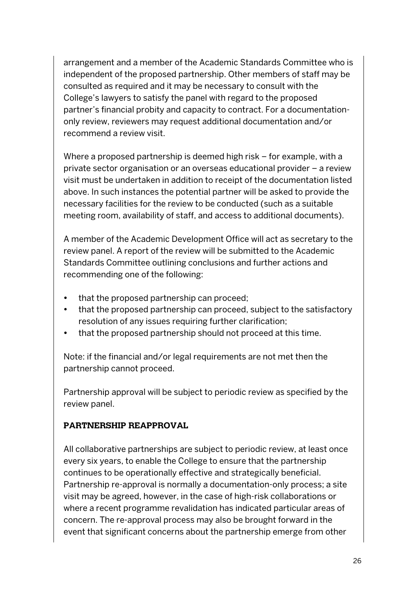arrangement and a member of the Academic Standards Committee who is independent of the proposed partnership. Other members of staff may be consulted as required and it may be necessary to consult with the College's lawyers to satisfy the panel with regard to the proposed partner's financial probity and capacity to contract. For a documentationonly review, reviewers may request additional documentation and/or recommend a review visit.

Where a proposed partnership is deemed high risk – for example, with a private sector organisation or an overseas educational provider – a review visit must be undertaken in addition to receipt of the documentation listed above. In such instances the potential partner will be asked to provide the necessary facilities for the review to be conducted (such as a suitable meeting room, availability of staff, and access to additional documents).

A member of the Academic Development Office will act as secretary to the review panel. A report of the review will be submitted to the Academic Standards Committee outlining conclusions and further actions and recommending one of the following:

- that the proposed partnership can proceed;
- that the proposed partnership can proceed, subject to the satisfactory resolution of any issues requiring further clarification;
- that the proposed partnership should not proceed at this time.

Note: if the financial and/or legal requirements are not met then the partnership cannot proceed.

Partnership approval will be subject to periodic review as specified by the review panel.

#### **PARTNERSHIP REAPPROVAL**

All collaborative partnerships are subject to periodic review, at least once every six years, to enable the College to ensure that the partnership continues to be operationally effective and strategically beneficial. Partnership re-approval is normally a documentation-only process; a site visit may be agreed, however, in the case of high-risk collaborations or where a recent programme revalidation has indicated particular areas of concern. The re-approval process may also be brought forward in the event that significant concerns about the partnership emerge from other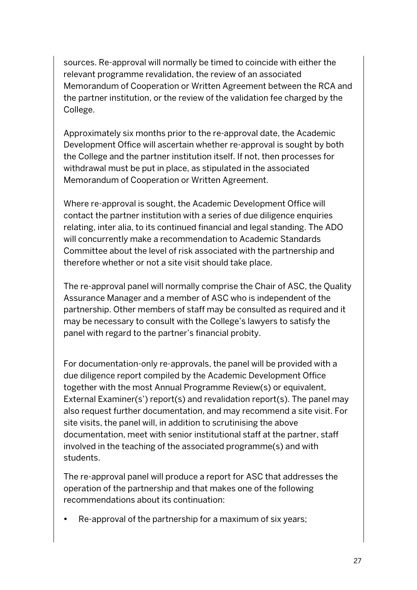sources. Re-approval will normally be timed to coincide with either the relevant programme revalidation, the review of an associated Memorandum of Cooperation or Written Agreement between the RCA and the partner institution, or the review of the validation fee charged by the College.

Approximately six months prior to the re-approval date, the Academic Development Office will ascertain whether re-approval is sought by both the College and the partner institution itself. If not, then processes for withdrawal must be put in place, as stipulated in the associated Memorandum of Cooperation or Written Agreement.

Where re-approval is sought, the Academic Development Office will contact the partner institution with a series of due diligence enquiries relating, inter alia, to its continued financial and legal standing. The ADO will concurrently make a recommendation to Academic Standards Committee about the level of risk associated with the partnership and therefore whether or not a site visit should take place.

The re-approval panel will normally comprise the Chair of ASC, the Quality Assurance Manager and a member of ASC who is independent of the partnership. Other members of staff may be consulted as required and it may be necessary to consult with the College's lawyers to satisfy the panel with regard to the partner's financial probity.

For documentation-only re-approvals, the panel will be provided with a due diligence report compiled by the Academic Development Office together with the most Annual Programme Review(s) or equivalent, External Examiner(s') report(s) and revalidation report(s). The panel may also request further documentation, and may recommend a site visit. For site visits, the panel will, in addition to scrutinising the above documentation, meet with senior institutional staff at the partner, staff involved in the teaching of the associated programme(s) and with students.

The re-approval panel will produce a report for ASC that addresses the operation of the partnership and that makes one of the following recommendations about its continuation:

• Re-approval of the partnership for a maximum of six years;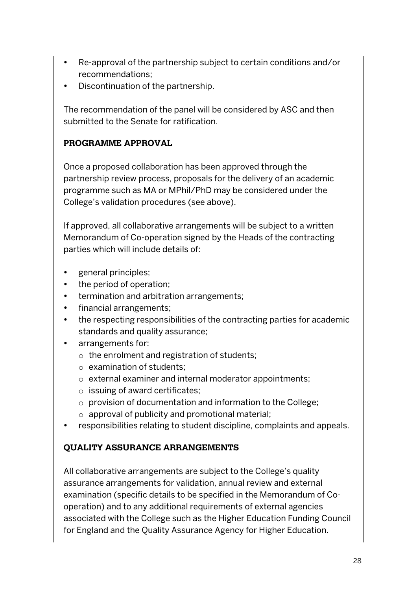- Re-approval of the partnership subject to certain conditions and/or recommendations;
- Discontinuation of the partnership.

The recommendation of the panel will be considered by ASC and then submitted to the Senate for ratification.

### **PROGRAMME APPROVAL**

Once a proposed collaboration has been approved through the partnership review process, proposals for the delivery of an academic programme such as MA or MPhil/PhD may be considered under the College's validation procedures (see above).

If approved, all collaborative arrangements will be subject to a written Memorandum of Co-operation signed by the Heads of the contracting parties which will include details of:

- general principles;
- the period of operation;
- termination and arbitration arrangements;
- financial arrangements;
- the respecting responsibilities of the contracting parties for academic standards and quality assurance;
- arrangements for:
	- o the enrolment and registration of students;
	- o examination of students;
	- o external examiner and internal moderator appointments;
	- o issuing of award certificates;
	- o provision of documentation and information to the College;
	- o approval of publicity and promotional material;
- responsibilities relating to student discipline, complaints and appeals.

### **QUALITY ASSURANCE ARRANGEMENTS**

All collaborative arrangements are subject to the College's quality assurance arrangements for validation, annual review and external examination (specific details to be specified in the Memorandum of Cooperation) and to any additional requirements of external agencies associated with the College such as the Higher Education Funding Council for England and the Quality Assurance Agency for Higher Education.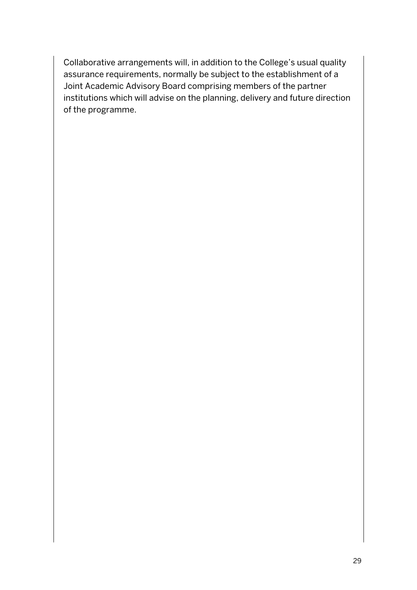Collaborative arrangements will, in addition to the College's usual quality assurance requirements, normally be subject to the establishment of a Joint Academic Advisory Board comprising members of the partner institutions which will advise on the planning, delivery and future direction of the programme.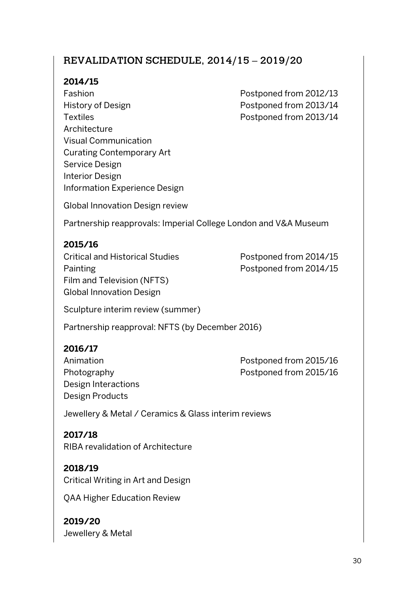# REVALIDATION SCHEDULE, 2014/15 – 2019/20

#### **2014/15**

Fashion **Postponed from 2012/13** History of Design **Postponed from 2013/14** Textiles **Postponed from 2013/14 Architecture** Visual Communication Curating Contemporary Art Service Design Interior Design Information Experience Design

Global Innovation Design review

Partnership reapprovals: Imperial College London and V&A Museum

### **2015/16**

Critical and Historical Studies Postponed from 2014/15 Painting Postponed from 2014/15 Film and Television (NFTS) Global Innovation Design

Sculpture interim review (summer)

Partnership reapproval: NFTS (by December 2016)

### **2016/17**

Design Interactions Design Products

Animation **Postponed from 2015/16** Photography Postponed from 2015/16

Jewellery & Metal / Ceramics & Glass interim reviews

**2017/18** RIBA revalidation of Architecture

**2018/19** Critical Writing in Art and Design

QAA Higher Education Review

**2019/20** Jewellery & Metal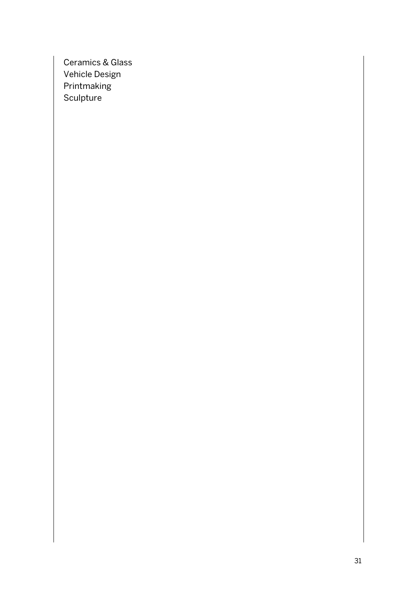Ceramics & Glass Vehicle Design **Printmaking** Sculpture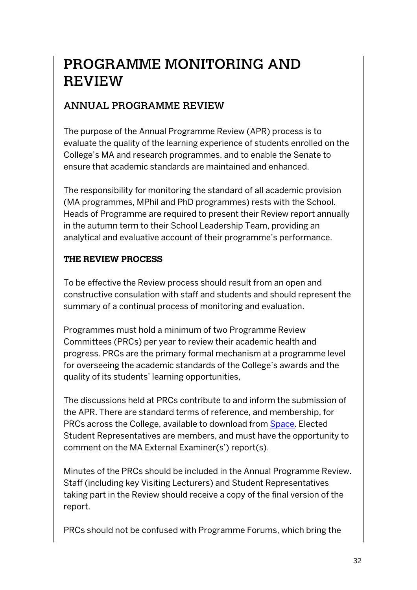# PROGRAMME MONITORING AND REVIEW

# ANNUAL PROGRAMME REVIEW

The purpose of the Annual Programme Review (APR) process is to evaluate the quality of the learning experience of students enrolled on the College's MA and research programmes, and to enable the Senate to ensure that academic standards are maintained and enhanced.

The responsibility for monitoring the standard of all academic provision (MA programmes, MPhil and PhD programmes) rests with the School. Heads of Programme are required to present their Review report annually in the autumn term to their School Leadership Team, providing an analytical and evaluative account of their programme's performance.

#### **THE REVIEW PROCESS**

To be effective the Review process should result from an open and constructive consulation with staff and students and should represent the summary of a continual process of monitoring and evaluation.

Programmes must hold a minimum of two Programme Review Committees (PRCs) per year to review their academic health and progress. PRCs are the primary formal mechanism at a programme level for overseeing the academic standards of the College's awards and the quality of its students' learning opportunities,

The discussions held at PRCs contribute to and inform the submission of the APR. There are standard terms of reference, and membership, for PRCs across the College, available to download from Space. Elected Student Representatives are members, and must have the opportunity to comment on the MA External Examiner(s') report(s).

Minutes of the PRCs should be included in the Annual Programme Review. Staff (including key Visiting Lecturers) and Student Representatives taking part in the Review should receive a copy of the final version of the report.

PRCs should not be confused with Programme Forums, which bring the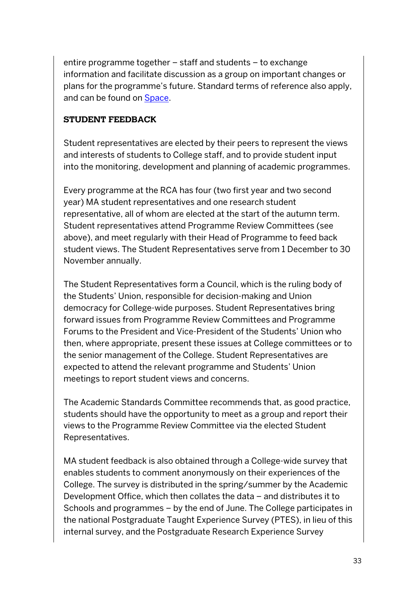entire programme together – staff and students – to exchange information and facilitate discussion as a group on important changes or plans for the programme's future. Standard terms of reference also apply, and can be found on Space.

#### **STUDENT FEEDBACK**

Student representatives are elected by their peers to represent the views and interests of students to College staff, and to provide student input into the monitoring, development and planning of academic programmes.

Every programme at the RCA has four (two first year and two second year) MA student representatives and one research student representative, all of whom are elected at the start of the autumn term. Student representatives attend Programme Review Committees (see above), and meet regularly with their Head of Programme to feed back student views. The Student Representatives serve from 1 December to 30 November annually.

The Student Representatives form a Council, which is the ruling body of the Students' Union, responsible for decision-making and Union democracy for College-wide purposes. Student Representatives bring forward issues from Programme Review Committees and Programme Forums to the President and Vice-President of the Students' Union who then, where appropriate, present these issues at College committees or to the senior management of the College. Student Representatives are expected to attend the relevant programme and Students' Union meetings to report student views and concerns.

The Academic Standards Committee recommends that, as good practice, students should have the opportunity to meet as a group and report their views to the Programme Review Committee via the elected Student Representatives.

MA student feedback is also obtained through a College-wide survey that enables students to comment anonymously on their experiences of the College. The survey is distributed in the spring/summer by the Academic Development Office, which then collates the data – and distributes it to Schools and programmes – by the end of June. The College participates in the national Postgraduate Taught Experience Survey (PTES), in lieu of this internal survey, and the Postgraduate Research Experience Survey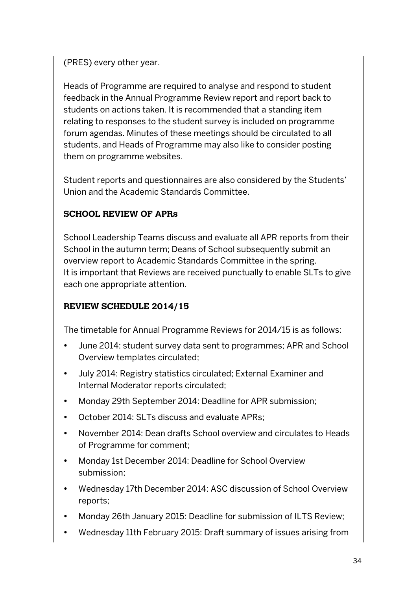### (PRES) every other year.

Heads of Programme are required to analyse and respond to student feedback in the Annual Programme Review report and report back to students on actions taken. It is recommended that a standing item relating to responses to the student survey is included on programme forum agendas. Minutes of these meetings should be circulated to all students, and Heads of Programme may also like to consider posting them on programme websites.

Student reports and questionnaires are also considered by the Students' Union and the Academic Standards Committee.

### **SCHOOL REVIEW OF APRs**

School Leadership Teams discuss and evaluate all APR reports from their School in the autumn term; Deans of School subsequently submit an overview report to Academic Standards Committee in the spring. It is important that Reviews are received punctually to enable SLTs to give each one appropriate attention.

# **REVIEW SCHEDULE 2014/15**

The timetable for Annual Programme Reviews for 2014/15 is as follows:

- June 2014: student survey data sent to programmes; APR and School Overview templates circulated;
- July 2014: Registry statistics circulated; External Examiner and Internal Moderator reports circulated;
- Monday 29th September 2014: Deadline for APR submission;
- October 2014: SLTs discuss and evaluate APRs;
- November 2014: Dean drafts School overview and circulates to Heads of Programme for comment;
- Monday 1st December 2014: Deadline for School Overview submission;
- Wednesday 17th December 2014: ASC discussion of School Overview reports;
- Monday 26th January 2015: Deadline for submission of ILTS Review;
- Wednesday 11th February 2015: Draft summary of issues arising from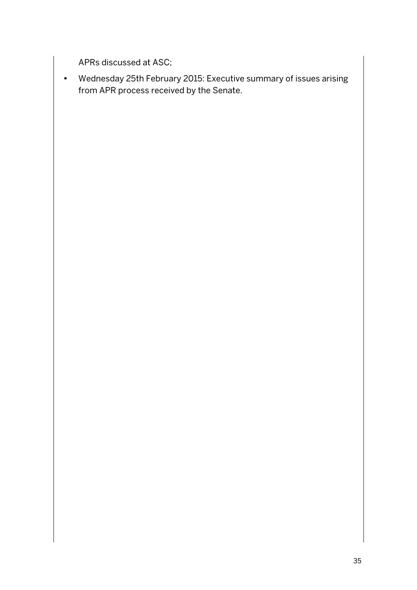APRs discussed at ASC;

• Wednesday 25th February 2015: Executive summary of issues arising from APR process received by the Senate.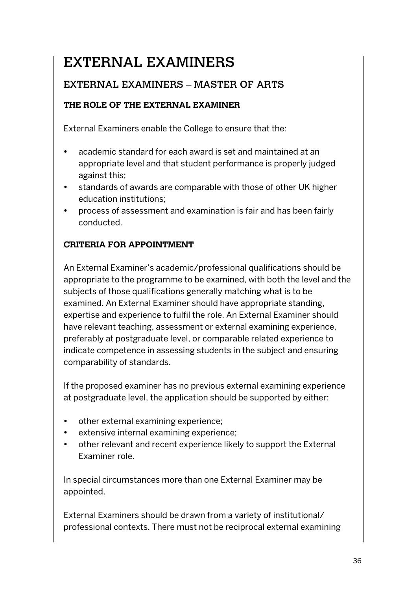# EXTERNAL EXAMINERS

# EXTERNAL EXAMINERS – MASTER OF ARTS

### **THE ROLE OF THE EXTERNAL EXAMINER**

External Examiners enable the College to ensure that the:

- academic standard for each award is set and maintained at an appropriate level and that student performance is properly judged against this;
- standards of awards are comparable with those of other UK higher education institutions;
- process of assessment and examination is fair and has been fairly conducted.

### **CRITERIA FOR APPOINTMENT**

An External Examiner's academic/professional qualifications should be appropriate to the programme to be examined, with both the level and the subjects of those qualifications generally matching what is to be examined. An External Examiner should have appropriate standing, expertise and experience to fulfil the role. An External Examiner should have relevant teaching, assessment or external examining experience, preferably at postgraduate level, or comparable related experience to indicate competence in assessing students in the subject and ensuring comparability of standards.

If the proposed examiner has no previous external examining experience at postgraduate level, the application should be supported by either:

- other external examining experience;
- extensive internal examining experience;
- other relevant and recent experience likely to support the External Examiner role.

In special circumstances more than one External Examiner may be appointed.

External Examiners should be drawn from a variety of institutional/ professional contexts. There must not be reciprocal external examining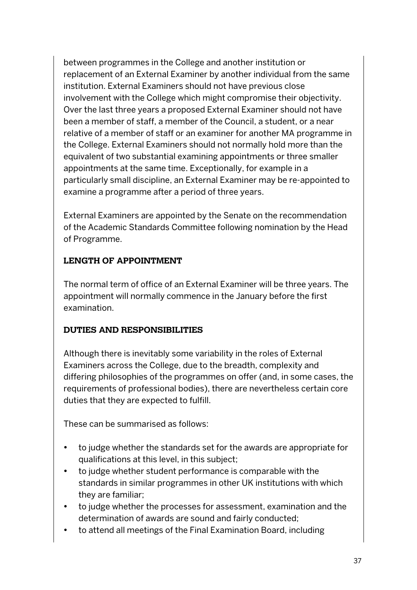between programmes in the College and another institution or replacement of an External Examiner by another individual from the same institution. External Examiners should not have previous close involvement with the College which might compromise their objectivity. Over the last three years a proposed External Examiner should not have been a member of staff, a member of the Council, a student, or a near relative of a member of staff or an examiner for another MA programme in the College. External Examiners should not normally hold more than the equivalent of two substantial examining appointments or three smaller appointments at the same time. Exceptionally, for example in a particularly small discipline, an External Examiner may be re-appointed to examine a programme after a period of three years.

External Examiners are appointed by the Senate on the recommendation of the Academic Standards Committee following nomination by the Head of Programme.

#### **LENGTH OF APPOINTMENT**

The normal term of office of an External Examiner will be three years. The appointment will normally commence in the January before the first examination.

### **DUTIES AND RESPONSIBILITIES**

Although there is inevitably some variability in the roles of External Examiners across the College, due to the breadth, complexity and differing philosophies of the programmes on offer (and, in some cases, the requirements of professional bodies), there are nevertheless certain core duties that they are expected to fulfill.

These can be summarised as follows:

- to judge whether the standards set for the awards are appropriate for qualifications at this level, in this subject;
- to judge whether student performance is comparable with the standards in similar programmes in other UK institutions with which they are familiar;
- to judge whether the processes for assessment, examination and the determination of awards are sound and fairly conducted;
- to attend all meetings of the Final Examination Board, including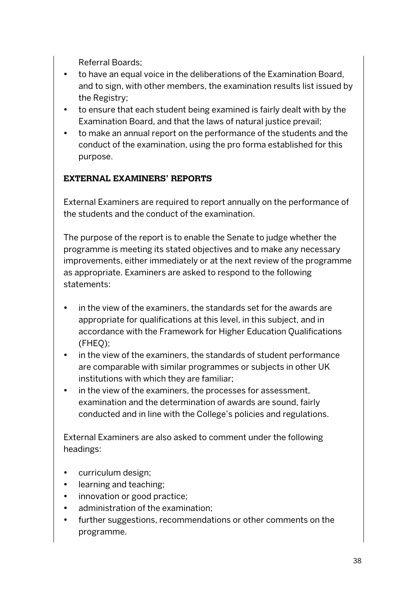Referral Boards;

- to have an equal voice in the deliberations of the Examination Board, and to sign, with other members, the examination results list issued by the Registry;
- to ensure that each student being examined is fairly dealt with by the Examination Board, and that the laws of natural justice prevail;
- to make an annual report on the performance of the students and the conduct of the examination, using the pro forma established for this purpose.

# **EXTERNAL EXAMINERS' REPORTS**

External Examiners are required to report annually on the performance of the students and the conduct of the examination.

The purpose of the report is to enable the Senate to judge whether the programme is meeting its stated objectives and to make any necessary improvements, either immediately or at the next review of the programme as appropriate. Examiners are asked to respond to the following statements:

- in the view of the examiners, the standards set for the awards are appropriate for qualifications at this level, in this subject, and in accordance with the Framework for Higher Education Qualifications (FHEQ);
- in the view of the examiners, the standards of student performance are comparable with similar programmes or subjects in other UK institutions with which they are familiar;
- in the view of the examiners, the processes for assessment, examination and the determination of awards are sound, fairly conducted and in line with the College's policies and regulations.

External Examiners are also asked to comment under the following headings:

- curriculum design;
- learning and teaching;
- innovation or good practice;
- administration of the examination;
- further suggestions, recommendations or other comments on the programme.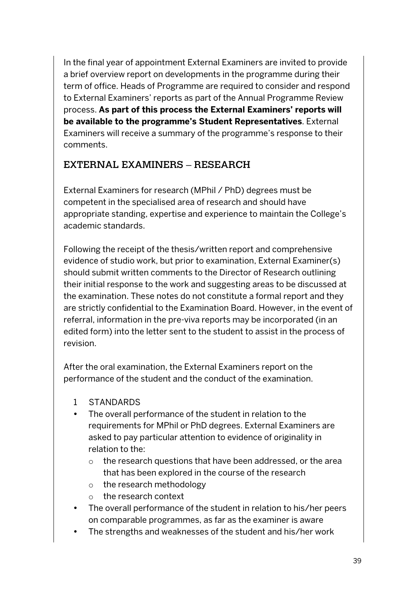In the final year of appointment External Examiners are invited to provide a brief overview report on developments in the programme during their term of office. Heads of Programme are required to consider and respond to External Examiners' reports as part of the Annual Programme Review process. **As part of this process the External Examiners' reports will be available to the programme's Student Representatives**. External Examiners will receive a summary of the programme's response to their comments.

# EXTERNAL EXAMINERS – RESEARCH

External Examiners for research (MPhil / PhD) degrees must be competent in the specialised area of research and should have appropriate standing, expertise and experience to maintain the College's academic standards.

Following the receipt of the thesis/written report and comprehensive evidence of studio work, but prior to examination, External Examiner(s) should submit written comments to the Director of Research outlining their initial response to the work and suggesting areas to be discussed at the examination. These notes do not constitute a formal report and they are strictly confidential to the Examination Board. However, in the event of referral, information in the pre-viva reports may be incorporated (in an edited form) into the letter sent to the student to assist in the process of revision.

After the oral examination, the External Examiners report on the performance of the student and the conduct of the examination.

- 1 STANDARDS
- The overall performance of the student in relation to the requirements for MPhil or PhD degrees. External Examiners are asked to pay particular attention to evidence of originality in relation to the:
	- o the research questions that have been addressed, or the area that has been explored in the course of the research
	- o the research methodology
	- o the research context
- The overall performance of the student in relation to his/her peers on comparable programmes, as far as the examiner is aware
- The strengths and weaknesses of the student and his/her work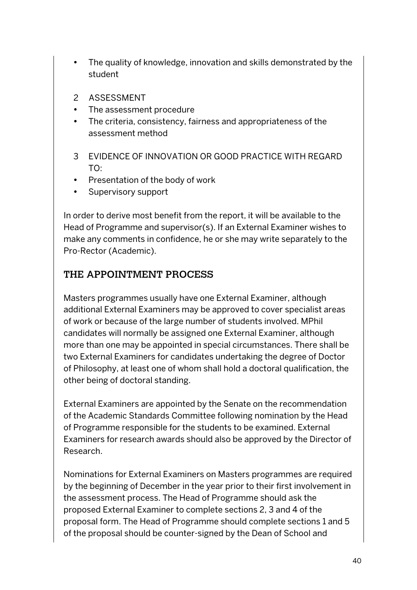- The quality of knowledge, innovation and skills demonstrated by the student
- 2 ASSESSMENT
- The assessment procedure
- The criteria, consistency, fairness and appropriateness of the assessment method
- 3 EVIDENCE OF INNOVATION OR GOOD PRACTICE WITH REGARD TO:
- Presentation of the body of work
- Supervisory support

In order to derive most benefit from the report, it will be available to the Head of Programme and supervisor(s). If an External Examiner wishes to make any comments in confidence, he or she may write separately to the Pro-Rector (Academic).

# THE APPOINTMENT PROCESS

Masters programmes usually have one External Examiner, although additional External Examiners may be approved to cover specialist areas of work or because of the large number of students involved. MPhil candidates will normally be assigned one External Examiner, although more than one may be appointed in special circumstances. There shall be two External Examiners for candidates undertaking the degree of Doctor of Philosophy, at least one of whom shall hold a doctoral qualification, the other being of doctoral standing.

External Examiners are appointed by the Senate on the recommendation of the Academic Standards Committee following nomination by the Head of Programme responsible for the students to be examined. External Examiners for research awards should also be approved by the Director of Research.

Nominations for External Examiners on Masters programmes are required by the beginning of December in the year prior to their first involvement in the assessment process. The Head of Programme should ask the proposed External Examiner to complete sections 2, 3 and 4 of the proposal form. The Head of Programme should complete sections 1 and 5 of the proposal should be counter-signed by the Dean of School and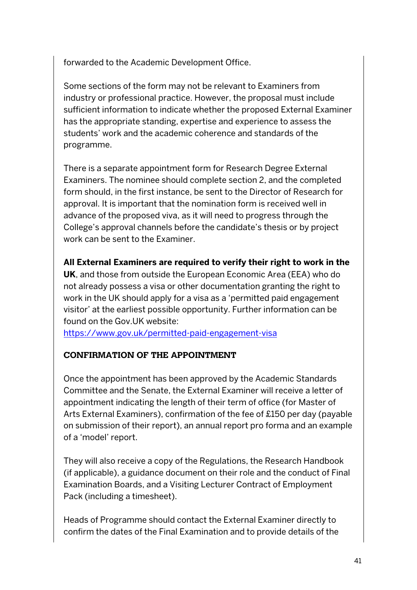forwarded to the Academic Development Office.

Some sections of the form may not be relevant to Examiners from industry or professional practice. However, the proposal must include sufficient information to indicate whether the proposed External Examiner has the appropriate standing, expertise and experience to assess the students' work and the academic coherence and standards of the programme.

There is a separate appointment form for Research Degree External Examiners. The nominee should complete section 2, and the completed form should, in the first instance, be sent to the Director of Research for approval. It is important that the nomination form is received well in advance of the proposed viva, as it will need to progress through the College's approval channels before the candidate's thesis or by project work can be sent to the Examiner.

**All External Examiners are required to verify their right to work in the** 

**UK**, and those from outside the European Economic Area (EEA) who do not already possess a visa or other documentation granting the right to work in the UK should apply for a visa as a 'permitted paid engagement visitor' at the earliest possible opportunity. Further information can be found on the Gov.UK website:

https://www.gov.uk/permitted-paid-engagement-visa

#### **CONFIRMATION OF THE APPOINTMENT**

Once the appointment has been approved by the Academic Standards Committee and the Senate, the External Examiner will receive a letter of appointment indicating the length of their term of office (for Master of Arts External Examiners), confirmation of the fee of £150 per day (payable on submission of their report), an annual report pro forma and an example of a 'model' report.

They will also receive a copy of the Regulations, the Research Handbook (if applicable), a guidance document on their role and the conduct of Final Examination Boards, and a Visiting Lecturer Contract of Employment Pack (including a timesheet).

Heads of Programme should contact the External Examiner directly to confirm the dates of the Final Examination and to provide details of the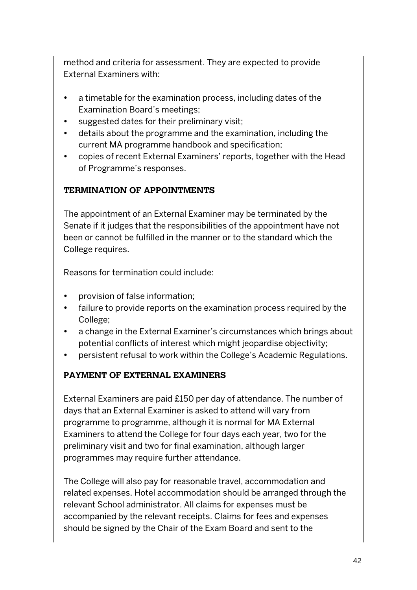method and criteria for assessment. They are expected to provide External Examiners with:

- a timetable for the examination process, including dates of the Examination Board's meetings;
- suggested dates for their preliminary visit;
- details about the programme and the examination, including the current MA programme handbook and specification;
- copies of recent External Examiners' reports, together with the Head of Programme's responses.

### **TERMINATION OF APPOINTMENTS**

The appointment of an External Examiner may be terminated by the Senate if it judges that the responsibilities of the appointment have not been or cannot be fulfilled in the manner or to the standard which the College requires.

Reasons for termination could include:

- provision of false information;
- failure to provide reports on the examination process required by the College;
- a change in the External Examiner's circumstances which brings about potential conflicts of interest which might jeopardise objectivity;
- persistent refusal to work within the College's Academic Regulations.

### **PAYMENT OF EXTERNAL EXAMINERS**

External Examiners are paid £150 per day of attendance. The number of days that an External Examiner is asked to attend will vary from programme to programme, although it is normal for MA External Examiners to attend the College for four days each year, two for the preliminary visit and two for final examination, although larger programmes may require further attendance.

The College will also pay for reasonable travel, accommodation and related expenses. Hotel accommodation should be arranged through the relevant School administrator. All claims for expenses must be accompanied by the relevant receipts. Claims for fees and expenses should be signed by the Chair of the Exam Board and sent to the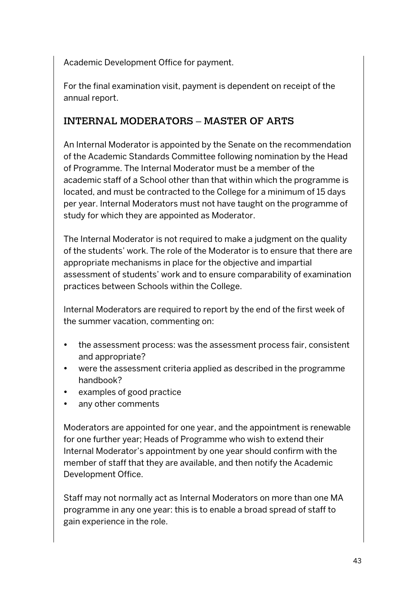Academic Development Office for payment.

For the final examination visit, payment is dependent on receipt of the annual report.

# INTERNAL MODERATORS – MASTER OF ARTS

An Internal Moderator is appointed by the Senate on the recommendation of the Academic Standards Committee following nomination by the Head of Programme. The Internal Moderator must be a member of the academic staff of a School other than that within which the programme is located, and must be contracted to the College for a minimum of 15 days per year. Internal Moderators must not have taught on the programme of study for which they are appointed as Moderator.

The Internal Moderator is not required to make a judgment on the quality of the students' work. The role of the Moderator is to ensure that there are appropriate mechanisms in place for the objective and impartial assessment of students' work and to ensure comparability of examination practices between Schools within the College.

Internal Moderators are required to report by the end of the first week of the summer vacation, commenting on:

- the assessment process: was the assessment process fair, consistent and appropriate?
- were the assessment criteria applied as described in the programme handbook?
- examples of good practice
- any other comments

Moderators are appointed for one year, and the appointment is renewable for one further year; Heads of Programme who wish to extend their Internal Moderator's appointment by one year should confirm with the member of staff that they are available, and then notify the Academic Development Office.

Staff may not normally act as Internal Moderators on more than one MA programme in any one year: this is to enable a broad spread of staff to gain experience in the role.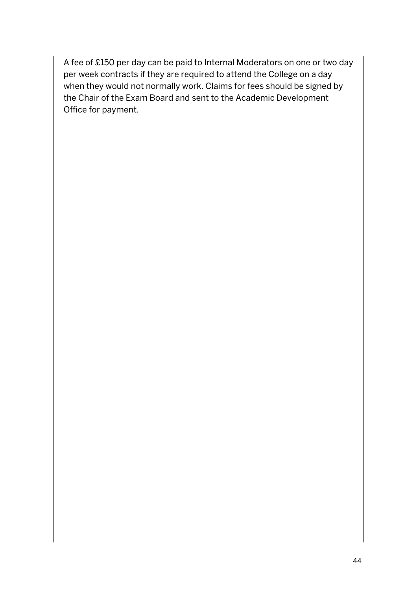A fee of £150 per day can be paid to Internal Moderators on one or two day per week contracts if they are required to attend the College on a day when they would not normally work. Claims for fees should be signed by the Chair of the Exam Board and sent to the Academic Development Office for payment.